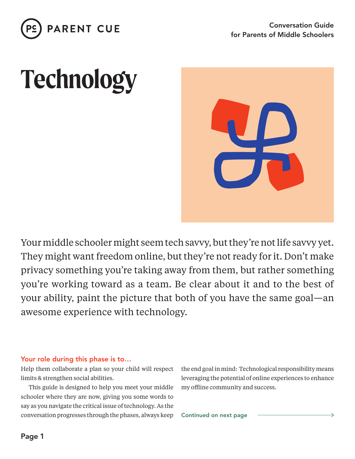

# **Technology**



Your middle schooler might seem tech savvy, but they're not life savvy yet. They might want freedom online, but they're not ready for it. Don't make privacy something you're taking away from them, but rather something you're working toward as a team. Be clear about it and to the best of your ability, paint the picture that both of you have the same goal—an awesome experience with technology.

#### Your role during this phase is to…

Help them collaborate a plan so your child will respect limits & strengthen social abilities.

This guide is designed to help you meet your middle schooler where they are now, giving you some words to say as you navigate the critical issue of technology. As the conversation progresses through the phases, always keep the end goal in mind: Technological responsibility means leveraging the potential of online experiences to enhance my offline community and success.

Continued on next page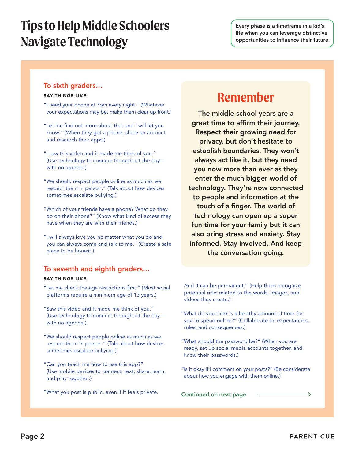## **Tips to Help Middle Schoolers Navigate Technology**

#### To sixth graders…

#### SAY THINGS LIKE

- "I need your phone at 7pm every night." (Whatever your expectations may be, make them clear up front.)
- "Let me find out more about that and I will let you know." (When they get a phone, share an account and research their apps.)
- "I saw this video and it made me think of you." (Use technology to connect throughout the day with no agenda.)
- "We should respect people online as much as we respect them in person." (Talk about how devices sometimes escalate bullying.)
- "Which of your friends have a phone? What do they do on their phone?" (Know what kind of access they have when they are with their friends.)
- "I will always love you no matter what you do and you can always come and talk to me." (Create a safe place to be honest.)

#### To seventh and eighth graders…

#### SAY THINGS LIKE

- "Let me check the age restrictions first." (Most social platforms require a minimum age of 13 years.)
- "Saw this video and it made me think of you." (Use technology to connect throughout the day with no agenda.)
- "We should respect people online as much as we respect them in person." (Talk about how devices sometimes escalate bullying.)
- "Can you teach me how to use this app?" (Use mobile devices to connect: text, share, learn, and play together.)
- "What you post is public, even if it feels private. **Continued on next page**

### **Remember**

The middle school years are a great time to affirm their journey. Respect their growing need for privacy, but don't hesitate to establish boundaries. They won't always act like it, but they need you now more than ever as they enter the much bigger world of technology. They're now connected to people and information at the touch of a finger. The world of technology can open up a super fun time for your family but it can also bring stress and anxiety. Stay informed. Stay involved. And keep the conversation going.

And it can be permanent." (Help them recognize potential risks related to the words, images, and videos they create.)

- "What do you think is a healthy amount of time for you to spend online?" (Collaborate on expectations, rules, and consequences.)
- "What should the password be?" (When you are ready, set up social media accounts together, and know their passwords.)
- "Is it okay if I comment on your posts?" (Be considerate about how you engage with them online.)